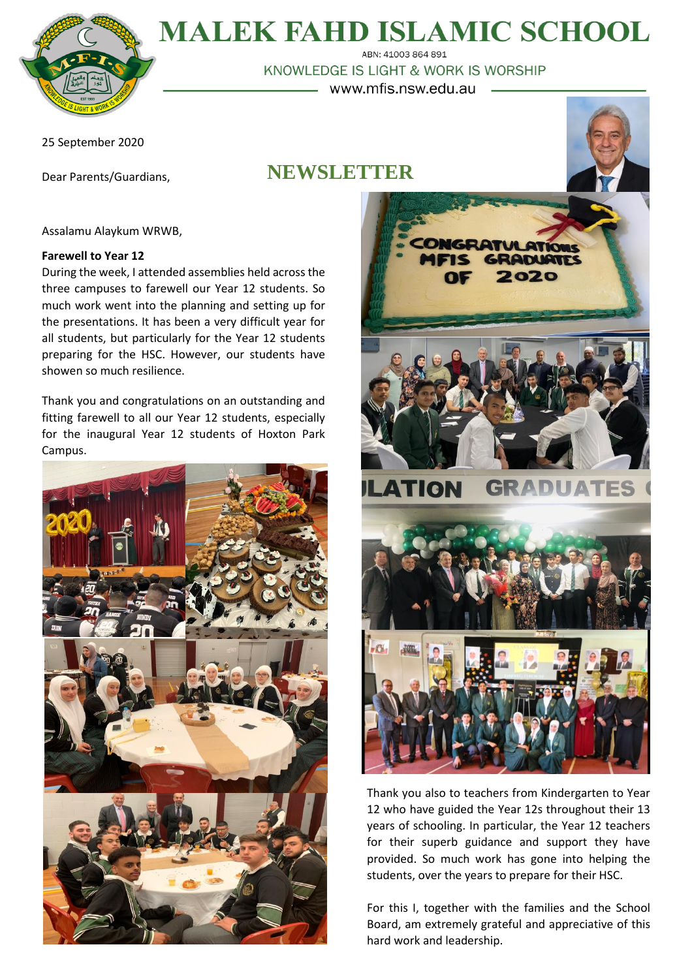

# **MALEK FAHD ISLAMIC SCHOOL**

ABN: 41003 864 891 KNOWLEDGE IS LIGHT & WORK IS WORSHIP - www.mfis.nsw.edu.au -

25 September 2020

Dear Parents/Guardians,

# **NEWSLETTER**



Assalamu Alaykum WRWB,

# **Farewell to Year 12**

During the week, I attended assemblies held across the three campuses to farewell our Year 12 students. So much work went into the planning and setting up for the presentations. It has been a very difficult year for all students, but particularly for the Year 12 students preparing for the HSC. However, our students have showen so much resilience.

Thank you and congratulations on an outstanding and fitting farewell to all our Year 12 students, especially for the inaugural Year 12 students of Hoxton Park Campus.





Thank you also to teachers from Kindergarten to Year 12 who have guided the Year 12s throughout their 13 years of schooling. In particular, the Year 12 teachers for their superb guidance and support they have provided. So much work has gone into helping the students, over the years to prepare for their HSC.

For this I, together with the families and the School Board, am extremely grateful and appreciative of this hard work and leadership.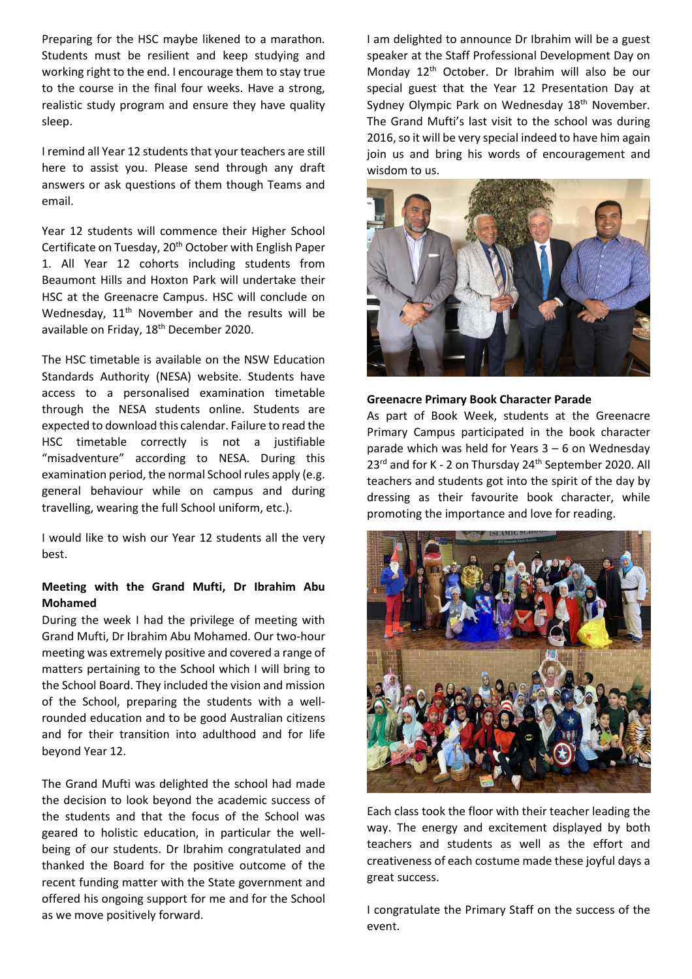Preparing for the HSC maybe likened to a marathon. Students must be resilient and keep studying and working right to the end. I encourage them to stay true to the course in the final four weeks. Have a strong, realistic study program and ensure they have quality sleep.

I remind all Year 12 students that your teachers are still here to assist you. Please send through any draft answers or ask questions of them though Teams and email.

Year 12 students will commence their Higher School Certificate on Tuesday, 20<sup>th</sup> October with English Paper 1. All Year 12 cohorts including students from Beaumont Hills and Hoxton Park will undertake their HSC at the Greenacre Campus. HSC will conclude on Wednesday, 11<sup>th</sup> November and the results will be available on Friday, 18<sup>th</sup> December 2020.

The HSC timetable is available on the NSW Education Standards Authority (NESA) website. Students have access to a personalised examination timetable through the NESA students online. Students are expected to download this calendar. Failure to read the HSC timetable correctly is not a justifiable "misadventure" according to NESA. During this examination period, the normal School rules apply (e.g. general behaviour while on campus and during travelling, wearing the full School uniform, etc.).

I would like to wish our Year 12 students all the very best.

# **Meeting with the Grand Mufti, Dr Ibrahim Abu Mohamed**

During the week I had the privilege of meeting with Grand Mufti, Dr Ibrahim Abu Mohamed. Our two-hour meeting was extremely positive and covered a range of matters pertaining to the School which I will bring to the School Board. They included the vision and mission of the School, preparing the students with a wellrounded education and to be good Australian citizens and for their transition into adulthood and for life beyond Year 12.

The Grand Mufti was delighted the school had made the decision to look beyond the academic success of the students and that the focus of the School was geared to holistic education, in particular the wellbeing of our students. Dr Ibrahim congratulated and thanked the Board for the positive outcome of the recent funding matter with the State government and offered his ongoing support for me and for the School as we move positively forward.

I am delighted to announce Dr Ibrahim will be a guest speaker at the Staff Professional Development Day on Monday 12<sup>th</sup> October. Dr Ibrahim will also be our special guest that the Year 12 Presentation Day at Sydney Olympic Park on Wednesday 18<sup>th</sup> November. The Grand Mufti's last visit to the school was during 2016, so it will be very special indeed to have him again join us and bring his words of encouragement and wisdom to us.



#### **Greenacre Primary Book Character Parade**

As part of Book Week, students at the Greenacre Primary Campus participated in the book character parade which was held for Years 3 – 6 on Wednesday  $23^{rd}$  and for K - 2 on Thursday  $24^{th}$  September 2020. All teachers and students got into the spirit of the day by dressing as their favourite book character, while promoting the importance and love for reading.



Each class took the floor with their teacher leading the way. The energy and excitement displayed by both teachers and students as well as the effort and creativeness of each costume made these joyful days a great success.

I congratulate the Primary Staff on the success of the event.